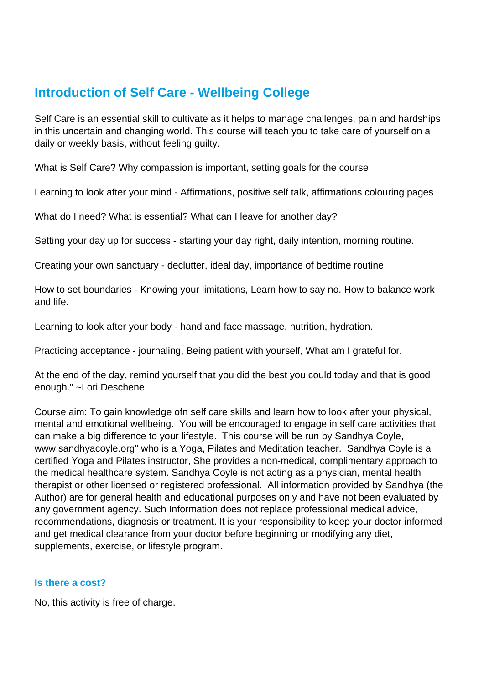# **Introduction of Self Care - Wellbeing College**

Self Care is an essential skill to cultivate as it helps to manage challenges, pain and hardships in this uncertain and changing world. This course will teach you to take care of yourself on a daily or weekly basis, without feeling guilty.

What is Self Care? Why compassion is important, setting goals for the course

Learning to look after your mind - Affirmations, positive self talk, affirmations colouring pages

What do I need? What is essential? What can I leave for another day?

Setting your day up for success - starting your day right, daily intention, morning routine.

Creating your own sanctuary - declutter, ideal day, importance of bedtime routine

How to set boundaries - Knowing your limitations, Learn how to say no. How to balance work and life.

Learning to look after your body - hand and face massage, nutrition, hydration.

Practicing acceptance - journaling, Being patient with yourself, What am I grateful for.

At the end of the day, remind yourself that you did the best you could today and that is good enough." ~Lori Deschene

Course aim: To gain knowledge ofn self care skills and learn how to look after your physical, mental and emotional wellbeing. You will be encouraged to engage in self care activities that can make a big difference to your lifestyle. This course will be run by Sandhya Coyle, www.sandhyacoyle.org" who is a Yoga, Pilates and Meditation teacher. Sandhya Coyle is a certified Yoga and Pilates instructor, She provides a non-medical, complimentary approach to the medical healthcare system. Sandhya Coyle is not acting as a physician, mental health therapist or other licensed or registered professional. All information provided by Sandhya (the Author) are for general health and educational purposes only and have not been evaluated by any government agency. Such Information does not replace professional medical advice, recommendations, diagnosis or treatment. It is your responsibility to keep your doctor informed and get medical clearance from your doctor before beginning or modifying any diet, supplements, exercise, or lifestyle program.

#### **Is there a cost?**

No, this activity is free of charge.